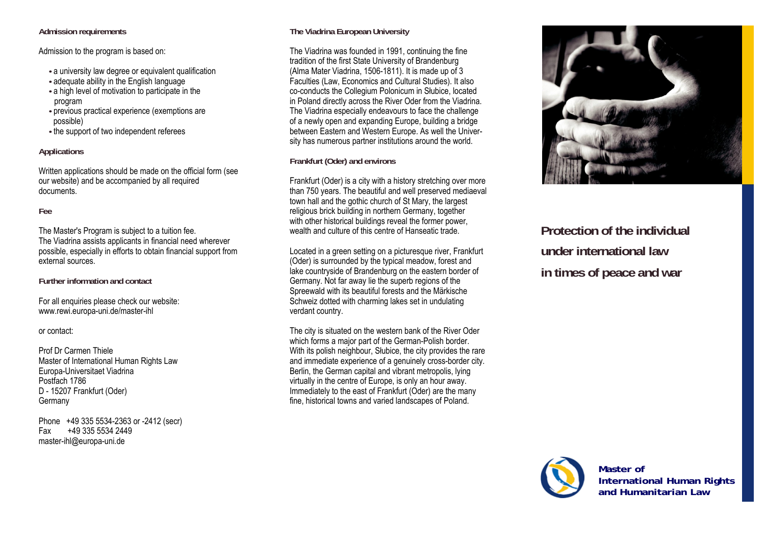#### **Admission requirements**

Admission to the program is based on:

- **•** a university law degree or equivalent qualification
- **•** adequate ability in the English language
- **•** a high level of motivation to participate in the program
- **•** previous practical experience (exemptions are possible)
- **•** the support of two independent referees

### **Applications**

Written applications should be made on the official form (see our website) and be accompanied by all required documents.

### **Fee**

The Master's Program is subject to a tuition fee. The Viadrina assists applicants in financial need wherever possible, especially in efforts to obtain financial support from external sources.

**Further information and contact** 

For all enquiries please check our website: www.rewi.europa-uni.de/master-ihl

or contact:

Prof Dr Carmen Thiele Master of International Human Rights Law Europa-Universitaet Viadrina Postfach 1786 D - 15207 Frankfurt (Oder) Germany

Phone +49 335 5534-2363 or -2412 (secr) Fax +49 335 5534 2449 master-ihl@europa-uni.de

# **The Viadrina European University**

The Viadrina was founded in 1991, continuing the fine tradition of the first State University of Brandenburg (Alma Mater Viadrina, 1506-1811). It is made up of 3 Faculties (Law, Economics and Cultural Studies). It also co-conducts the Collegium Polonicum in Słubice, located in Poland directly across the River Oder from the Viadrina. The Viadrina especially endeavours to face the challenge of a newly open and expanding Europe, building a bridge between Eastern and Western Europe. As well the University has numerous partner institutions around the world.

**Frankfurt (Oder) and environs** 

Frankfurt (Oder) is a city with a history stretching over more than 750 years. The beautiful and well preserved mediaeval town hall and the gothic church of St Mary, the largest religious brick building in northern Germany, together with other historical buildings reveal the former power, wealth and culture of this centre of Hanseatic trade.

Located in a green setting on a picturesque river, Frankfurt (Oder) is surrounded by the typical meadow, forest and lake countryside of Brandenburg on the eastern border of Germany. Not far away lie the superb regions of the Spreewald with its beautiful forests and the Märkische Schweiz dotted with charming lakes set in undulating verdant country.

The city is situated on the western bank of the River Oder which forms a major part of the German-Polish border. With its polish neighbour, Słubice, the city provides the rare and immediate experience of a genuinely cross-border city. Berlin, the German capital and vibrant metropolis, lying virtually in the centre of Europe, is only an hour away. Immediately to the east of Frankfurt (Oder) are the many fine, historical towns and varied landscapes of Poland.



**Protection of the individual under international law in times of peace and war** 



**Master of International Human Rights and Humanitarian Law**